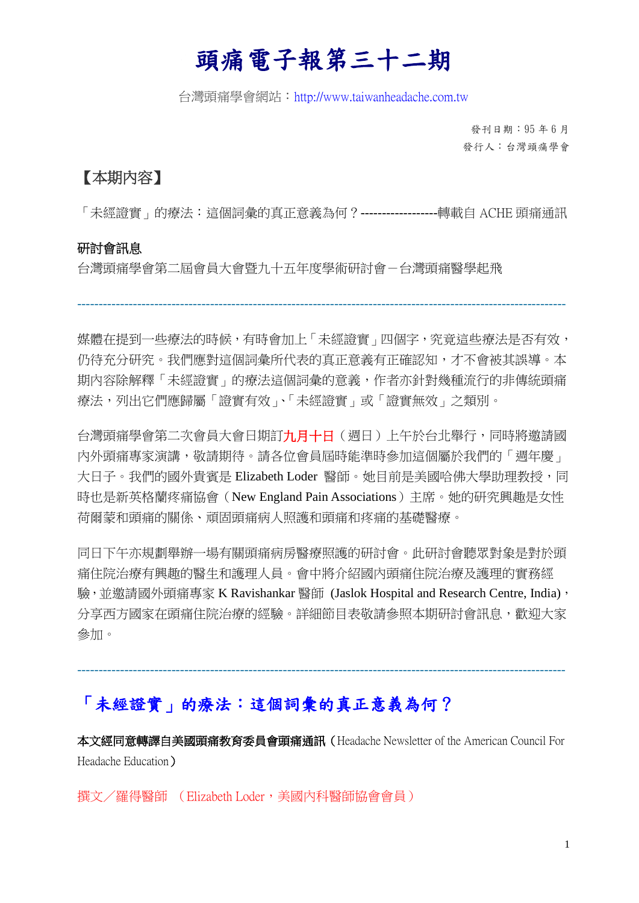# 頭痛電子報第三十二期

台灣頭痛學會網站:http://www.taiwanheadache.com.tw

發刊日期:95 年 6 月 發行人:台灣頭痛學會

## 【本期內容】

「未經證實」的療法:這個詞彙的真正意義為何?**------------------**轉載自 ACHE 頭痛通訊

#### 研討會訊息

台灣頭痛學會第二屆會員大會暨九十五年度學術研討會-台灣頭痛醫學起飛

媒體在提到一些療法的時候,有時會加上「未經證實」四個字,究竟這些療法是否有效, 仍待充分研究。我們應對這個詞彙所代表的真正意義有正確認知,才不會被其誤導。本 期內容除解釋「未經證實」的療法這個詞彙的意義,作者亦針對幾種流行的非傳統頭痛 療法,列出它們應歸屬「證實有效」、「未經證實」或「證實無效」之類別。

------------------------------------------------------------------------------------------------------------------

台灣頭痛學會第二次會員大會日期訂九月十日(週日)上午於台北舉行,同時將邀請國 內外頭痛專家演講,敬請期待。請各位會員屆時能準時參加這個屬於我們的「週年慶」 大日子。我們的國外貴賓是 Elizabeth Loder 醫師。她目前是美國哈佛大學助理教授,同 時也是新英格蘭疼痛協會(New England Pain Associations)主席。她的研究興趣是女性 荷爾蒙和頭痛的關係、頑固頭痛病人照護和頭痛和疼痛的基礎醫療。

同日下午亦規劃舉辦一場有關頭痛病房醫療照護的研討會。此研討會聽眾對象是對於頭 痛住院治療有興趣的醫生和護理人員。會中將介紹國內頭痛住院治療及護理的實務經 驗,並邀請國外頭痛專家 K Ravishankar 醫師 (Jaslok Hospital and Research Centre, India), 分享西方國家在頭痛住院治療的經驗。詳細節目表敬請參照本期研討會訊息,歡迎大家 參加。

## 「未經證實」的療法:這個詞彙的真正意義為何?

本文經同意轉譯自美國頭痛教育委員會頭痛通訊(Headache Newsletter of the American Council For Headache Education)

------------------------------------------------------------------------------------------------------------------

撰文/羅得醫師 (Elizabeth Loder, 美國內科醫師協會會員)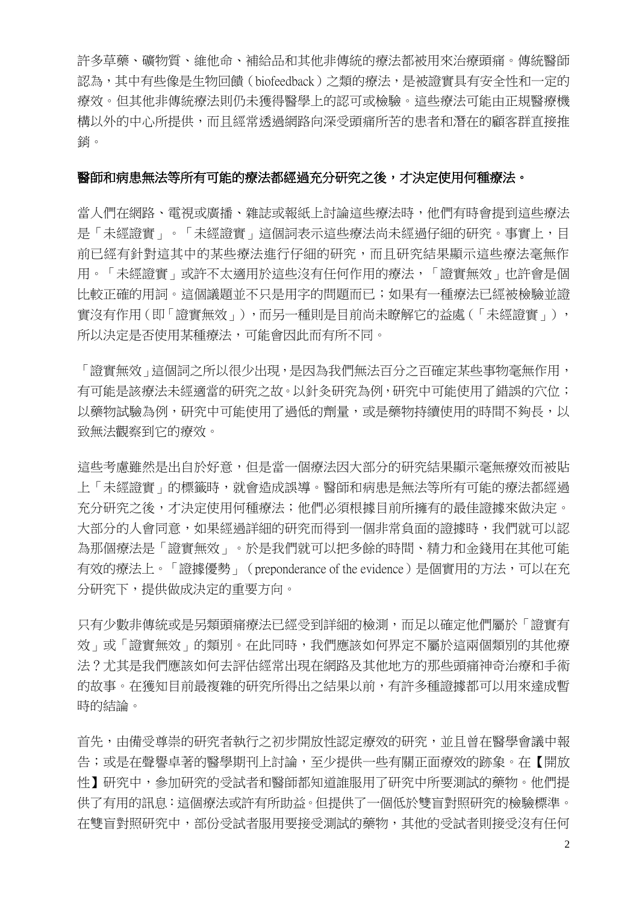許多草藥、礦物質、維他命、補給品和其他非傳統的療法都被用來治療頭痛。傳統醫師 認為,其中有些像是生物回饋(biofeedback)之類的療法,是被證實具有安全性和一定的 療效。但其他非傳統療法則仍未獲得醫學上的認可或檢驗。這些療法可能由正規醫療機 構以外的中心所提供,而且經常透過網路向深受頭痛所苦的患者和潛在的顧客群直接推 銷。

#### 醫師和病患無法等所有可能的療法都經過充分研究之後,才決定使用何種療法。

當人們在網路、電視或廣播、雜誌或報紙上討論這些療法時,他們有時會提到這些療法 是「未經證實」。「未經證實」這個詞表示這些療法尚未經過仔細的研究。事實上,目 前已經有針對這其中的某些療法進行仔細的研究,而且研究結果顯示這些療法毫無作 用。「未經證實」或許不太適用於這些沒有任何作用的療法,「證實無效」也許會是個 比較正確的用詞。這個議題並不只是用字的問題而已;如果有一種療法已經被檢驗並證 實沒有作用(即「證實無效」),而另一種則是目前尚未瞭解它的益處(「未經證實」), 所以決定是否使用某種療法,可能會因此而有所不同。

「證實無效」這個詞之所以很少出現,是因為我們無法百分之百確定某些事物毫無作用, 有可能是該療法未經適當的研究之故。以針灸研究為例,研究中可能使用了錯誤的穴位; 以藥物試驗為例,研究中可能使用了過低的劑量,或是藥物持續使用的時間不夠長,以 致無法觀察到它的療效。

這些考慮雖然是出自於好意,但是當一個療法因大部分的研究結果顯示毫無療效而被貼 上「未經證實」的標籤時,就會造成誤導。醫師和病患是無法等所有可能的療法都經過 充分研究之後,才決定使用何種療法;他們必須根據目前所擁有的最佳證據來做決定。 大部分的人會同意,如果經過詳細的研究而得到一個非常負面的證據時,我們就可以認 為那個療法是「證實無效」。於是我們就可以把多餘的時間、精力和金錢用在其他可能 有效的療法上。「證據優勢」 (preponderance of the evidence)是個實用的方法,可以在充 分研究下,提供做成決定的重要方向。

只有少數非傳統或是另類頭痛療法已經受到詳細的檢測,而足以確定他們屬於「證實有 效」或「證實無效」的類別。在此同時,我們應該如何界定不屬於這兩個類別的其他療 法?尤其是我們應該如何去評估經常出現在網路及其他地方的那些頭痛神奇治療和手術 的故事。在獲知目前最複雜的研究所得出之結果以前,有許多種證據都可以用來達成暫 時的結論。

首先,由備受尊崇的研究者執行之初步開放性認定療效的研究,並且曾在醫學會議中報 告;或是在聲譽卓著的醫學期刊上討論,至少提供一些有關正面療效的跡象。在【開放 性】研究中,參加研究的受試者和醫師都知道誰服用了研究中所要測試的藥物。他們提 供了有用的訊息:這個療法或許有所助益。但提供了一個低於雙盲對照研究的檢驗標準。 在雙盲對照研究中,部份受試者服用要接受測試的藥物,其他的受試者則接受沒有任何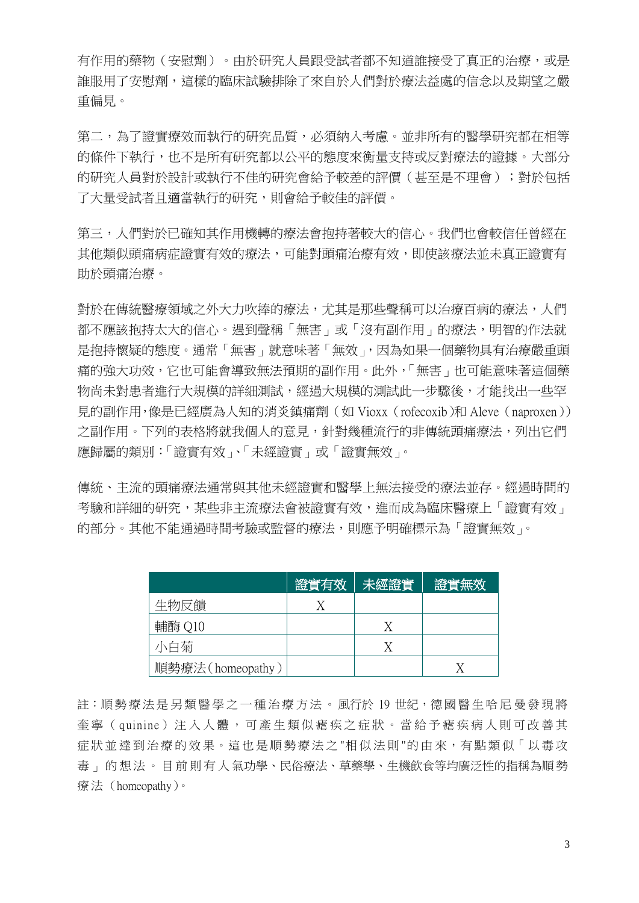有作用的藥物(安慰劑)。由於研究人員跟受試者都不知道誰接受了真正的治療,或是 誰服用了安慰劑,這樣的臨床試驗排除了來自於人們對於療法益處的信念以及期望之嚴 重偏見。

第二,為了證實療效而執行的研究品質,必須納入考慮。並非所有的醫學研究都在相等 的條件下執行,也不是所有研究都以公平的態度來衡量支持或反對療法的證據。大部分 的研究人員對於設計或執行不佳的研究會給予較差的評價(甚至是不理會);對於包括 了大量受試者且適當執行的研究,則會給予較佳的評價。

第三,人們對於已確知其作用機轉的療法會抱持著較大的信心。我們也會較信任曾經在 其他類似頭痛病症證實有效的療法,可能對頭痛治療有效,即使該療法並未真正證實有 助於頭痛治療。

對於在傳統醫療領域之外大力吹捧的療法,尤其是那些聲稱可以治療百病的療法,人們 都不應該抱持太大的信心。遇到聲稱「無害」或「沒有副作用」的療法,明智的作法就 是抱持懷疑的態度。通常「無害」就意味著「無效」,因為如果一個藥物具有治療嚴重頭 痛的強大功效,它也可能會導致無法預期的副作用。此外,「無害」也可能意味著這個藥 物尚未對患者進行大規模的詳細測試,經過大規模的測試此一步驟後,才能找出一些罕 見的副作用,像是已經廣為人知的消炎鎮痛劑(如 Vioxx (rofecoxib)和 Aleve (naproxen)) 之副作用。下列的表格將就我個人的意見,針對幾種流行的非傳統頭痛療法,列出它們 應歸屬的類別:「證實有效」、「未經證實」或「證實無效」。

傳統、主流的頭痛療法通常與其他未經證實和醫學上無法接受的療法並存。經過時間的 考驗和詳細的研究,某些非主流療法會被證實有效,進而成為臨床醫療上「證實有效」 的部分。其他不能通過時間考驗或監督的療法,則應予明確標示為「證實無效」。

|                  | 證實有效 | 未經證實 | 證實無效 |
|------------------|------|------|------|
| 生物反饋             |      |      |      |
| 輔酶 Q10           |      |      |      |
| 小白菊              |      |      |      |
| 順勢療法(homeopathy) |      |      |      |

註:順勢療法是另類醫學之一種治療方法。風行於19世紀,德國醫生哈尼曼發現將 奎 寧 ( quinine) 注 入 人 體 , 可 產 生 類 似 瘧 疾 之 症 狀 。 當 給 予 瘧 疾 病 人 則 可 改 善 其 症狀並達到治療的效果。這也是順勢療法之"相似法則"的由來,有點類似「以毒攻 毒 」 的 想 法 。 目 前 則 有 人 氣功學、民俗療法、草藥學、生機飲食等均廣泛性的指稱為順 勢 療 法 (homeopathy)。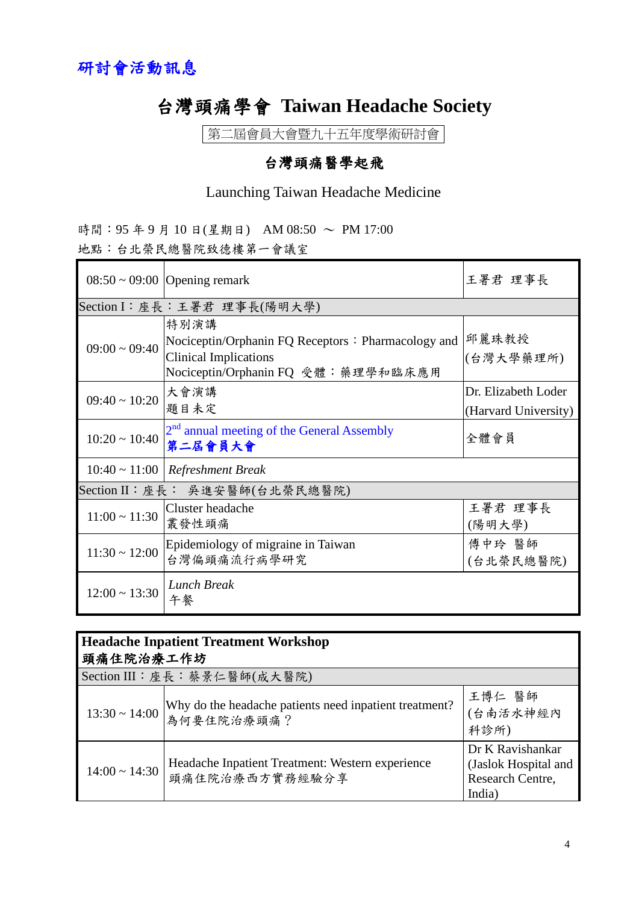## 台灣頭痛學會 **Taiwan Headache Society**

第二屆會員大會暨九十五年度學術研討會

## 台灣頭痛醫學起飛

## Launching Taiwan Headache Medicine

|  |  |  | 時間:95年9月10日(星期日) AM08:50 ~ PM17:00 |  |
|--|--|--|------------------------------------|--|
|  |  |  | 地點:台北榮民總醫院致德樓第一會議室                 |  |

|                                      | $08:50 \sim 09:00$ Opening remark                                                                                                 | 王署君 理事長                                     |  |  |  |
|--------------------------------------|-----------------------------------------------------------------------------------------------------------------------------------|---------------------------------------------|--|--|--|
|                                      | Section I:座長:王署君 理事長(陽明大學)                                                                                                        |                                             |  |  |  |
| $09:00 \sim 09:40$                   | 特別演講<br>Nociceptin/Orphanin FQ Receptors: Pharmacology and<br><b>Clinical Implications</b><br> Nociceptin/Orphanin FQ 受體:藥理學和臨床應用 | 邱麗珠教授<br> (台灣大學藥理所)                         |  |  |  |
| $09:40 \sim 10:20$                   | 大會演講<br>題目未定                                                                                                                      | Dr. Elizabeth Loder<br>(Harvard University) |  |  |  |
| $10:20 \sim 10:40$                   | 2 <sup>nd</sup> annual meeting of the General Assembly<br>第二居會員大會                                                                 | 全體會員                                        |  |  |  |
| $10:40 \sim 11:00$ Refreshment Break |                                                                                                                                   |                                             |  |  |  |
| Section II: 座長: 吳進安醫師(台北榮民總醫院)       |                                                                                                                                   |                                             |  |  |  |
| $11:00 \sim 11:30$                   | Cluster headache<br>叢發性頭痛                                                                                                         | 王署君 理事長<br>(陽明大學)                           |  |  |  |
| $11:30 \sim 12:00$                   | Epidemiology of migraine in Taiwan<br>台灣偏頭痛流行病學研究                                                                                 | 傅中玲 醫師<br>(台北榮民總醫院)                         |  |  |  |
| $12:00 \sim 13:30$                   | <b>Lunch Break</b><br>午餐                                                                                                          |                                             |  |  |  |

| <b>Headache Inpatient Treatment Workshop</b><br>頭痛住院治療工作坊 |                                                                                  |                                                                        |  |  |
|-----------------------------------------------------------|----------------------------------------------------------------------------------|------------------------------------------------------------------------|--|--|
| Section III: 座長: 蔡景仁醫師(成大醫院)                              |                                                                                  |                                                                        |  |  |
|                                                           | 13:30~14:00 Why do the headache patients need inpatient treatment?<br>為何要住院治療頭痛? | 王博仁 醫師<br>(台南活水神經內<br>科診所)                                             |  |  |
| $14:00 \sim 14:30$                                        | Headache Inpatient Treatment: Western experience<br>頭痛住院治療西方實務經驗分享               | Dr K Ravishankar<br>(Jaslok Hospital and<br>Research Centre,<br>India) |  |  |